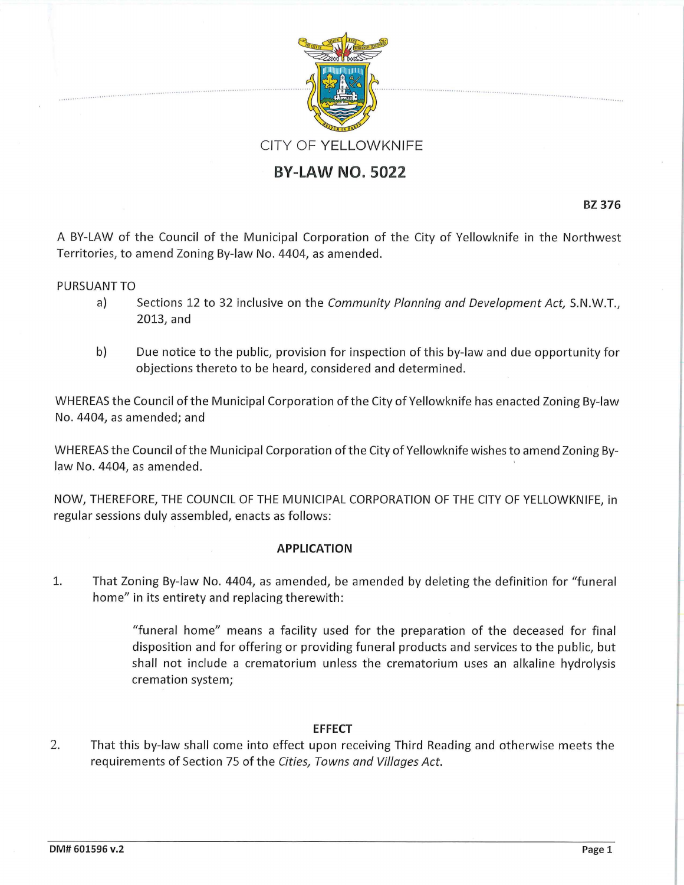

## **BY-LAW NO. 5022**

**BZ 376** 

. ... •· ....... '. ............

A BY-LAW of the Council of the Municipal Corporation of the City of Yellowknife in the Northwest Territories, to amend Zoning By-law No. 4404, as amended.

## PURSUANT TO

- a) Sections 12 to 32 inclusive on the *Community Planning and Development Act,* S.N.W.T., 2013, and
- b) Due notice to the public, provision for inspection of this by-law and due opportunity for objections thereto to be heard, considered and determined.

WHEREAS the Council of the Municipal Corporation of the City of Yellowknife has enacted Zoning By-law No. 4404, as amended; and

WHEREAS the Council of the Municipal Corporation of the City of Yellowknife wishes to amend Zoning Bylaw No. 4404, as amended.

NOW, THEREFORE, THE COUNCIL OF THE MUNICIPAL CORPORATION OF THE CITY OF YELLOWKNIFE, in regular sessions duly assembled, enacts as follows:

## **APPLICATION**

1. That Zoning By-law No. 4404, as amended, be amended by deleting the definition for "funeral home" in its entirety and replacing therewith:

> "funeral home" means a facility used for the preparation of the deceased for final disposition and for offering or providing funeral products and services to the public, but shall not include a crematorium unless the crematorium uses an alkaline hydrolysis cremation system;

## **EFFECT**

2. That this by-law shall come into effect upon receiving Third Reading and otherwise meets the requirements of Section 75 of the *Cities, Towns and Villages Act.*